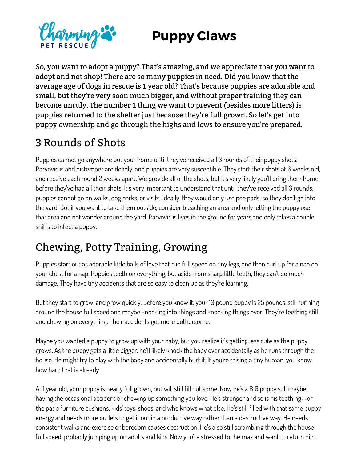## **Puppy Claws**



So, you want to adopt a puppy? That's amazing, and we appreciate that you want to adopt and not shop! There are so many puppies in need. Did you know that the average age of dogs in rescue is 1 year old? That's because puppies are adorable and small, but they're very soon much bigger, and without proper training they can become unruly. The number 1 thing we want to prevent (besides more litters) is puppies returned to the shelter just because they're full grown. So let's get into puppy ownership and go through the highs and lows to ensure you're prepared.

## 3 Rounds of Shots

Puppies cannot go anywhere but your home until they've received all 3 rounds of their puppy shots. Parvovirus and distemper are deadly, and puppies are very susceptible. They start their shots at 6 weeks old, and receive each round 2 weeks apart. We provide all of the shots, but it's very likely you'll bring them home before they've had all their shots. It's very important to understand that until they've received all 3 rounds, puppies cannot go on walks, dog parks, or visits. Ideally, they would only use pee pads, so they don't go into the yard. But if you want to take them outside, consider bleaching an area and only letting the puppy use that area and not wander around the yard. Parvovirus lives in the ground for years and only takes a couple sniffs to infect a puppy.

## Chewing, Potty Training, Growing

Puppies start out as adorable little balls of love that run full speed on tiny legs, and then curl up for a nap on your chest for a nap. Puppies teeth on everything, but aside from sharp little teeth, they can't do much damage. They have tiny accidents that are so easy to clean up as they're learning.

But they start to grow, and grow quickly. Before you know it, your 10 pound puppy is 25 pounds, still running around the house full speed and maybe knocking into things and knocking things over. They're teething still and chewing on everything. Their accidents get more bothersome.

Maybe you wanted a puppy to grow up with your baby, but you realize it's getting less cute as the puppy grows. As the puppy gets a little bigger, he'll likely knock the baby over accidentally as he runs through the house. He might try to play with the baby and accidentally hurt it. If you're raising a tiny human, you know how hard that is already.

At 1 year old, your puppy is nearly full grown, but will still fill out some. Now he's a BIG puppy still maybe having the occasional accident or chewing up something you love. He's stronger and so is his teething--on the patio furniture cushions, kids' toys, shoes, and who knows what else. He's still filled with that same puppy energy and needs more outlets to get it out in a productive way rather than a destructive way. He needs consistent walks and exercise or boredom causes destruction. He's also still scrambling through the house full speed, probably jumping up on adults and kids. Now you're stressed to the max and want to return him.